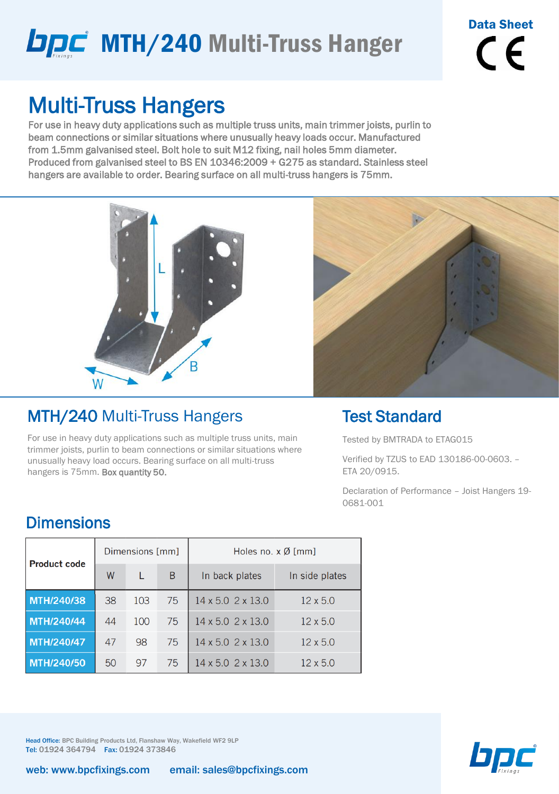# **DDC** MTH/240 Multi-Truss Hanger

Data Sheet  $\epsilon$ 

### Multi-Truss Hangers

For use in heavy duty applications such as multiple truss units, main trimmer joists, purlin to beam connections or similar situations where unusually heavy loads occur. Manufactured from 1.5mm galvanised steel. Bolt hole to suit M12 fixing, nail holes 5mm diameter. Produced from galvanised steel to BS EN 10346:2009 + G275 as standard. Stainless steel hangers are available to order. Bearing surface on all multi-truss hangers is 75mm.



### MTH/240 Multi-Truss Hangers

For use in heavy duty applications such as multiple truss units, main trimmer joists, purlin to beam connections or similar situations where unusually heavy load occurs. Bearing surface on all multi-truss hangers is 75mm. Box quantity 50.



#### Test Standard

Tested by BMTRADA to ETAG015

Verified by TZUS to EAD 130186-00-0603. – ETA 20/0915.

Declaration of Performance – Joist Hangers 19- 0681-001

#### **Dimensions**

| <b>Product code</b> |    | Dimensions [mm] |    | Holes no. $x \emptyset$ [mm]    |                 |  |  |
|---------------------|----|-----------------|----|---------------------------------|-----------------|--|--|
|                     | W  |                 | B  | In back plates                  | In side plates  |  |  |
| MTH/240/38          | 38 | 103             | 75 | $14 \times 5.0$ 2 $\times$ 13.0 | $12 \times 5.0$ |  |  |
| MTH/240/44          | 44 | 100             | 75 | $14 \times 5.0$ 2 $\times$ 13.0 | $12 \times 5.0$ |  |  |
| MTH/240/47          | 47 | 98              | 75 | 14 x 5.0 2 x 13.0               | $12 \times 5.0$ |  |  |
| MTH/240/50          | 50 | 97              | 75 | 14 x 5.0 2 x 13.0               | $12 \times 5.0$ |  |  |

Head Office: BPC Building Products Ltd, Flanshaw Way, Wakefield WF2 9LP Tel: 01924 364794 Fax: 01924 373846

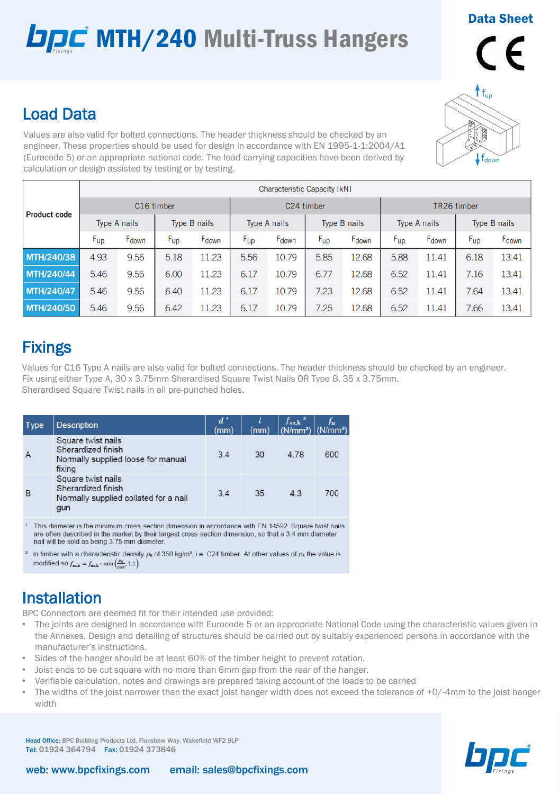# **DDC** MTH/240 Multi-Truss Hangers

Data Sheet



#### Load Data

Values are also valid for bolted connections. The header thickness should be checked by an engineer. These properties should be used for design in accordance with EN 1995-1-1:2004/A1 (Eurocode 5) or an appropriate national code. The load-carrying capacities have been derived by calculation or design assisted by testing or by testing.

| <b>Product code</b> | Characteristic Capacity [kN] |       |              |       |                     |       |                 |       |                 |       |              |       |
|---------------------|------------------------------|-------|--------------|-------|---------------------|-------|-----------------|-------|-----------------|-------|--------------|-------|
|                     | C <sub>16</sub> timber       |       |              |       | C24 timber          |       |                 |       | TR26 timber     |       |              |       |
|                     | Type A nails                 |       | Type B nails |       | <b>Type A nails</b> |       | Type B nails    |       | Type A nails    |       | Type B nails |       |
|                     | $F_{\text{up}}$              | Fdown | $F_{up}$     | Fdown | $F_{\text{up}}$     | Fdown | $F_{\text{up}}$ | Fdown | $F_{\text{up}}$ | Fdown | $F_{up}$     | Fdown |
| MTH/240/38          | 4.93                         | 9.56  | 5.18         | 11.23 | 5.56                | 10.79 | 5.85            | 12.68 | 5.88            | 11.41 | 6.18         | 13.41 |
| <b>MTH/240/44</b>   | 5.46                         | 9.56  | 6.00         | 11.23 | 6.17                | 10.79 | 6.77            | 12.68 | 6.52            | 11.41 | 7.16         | 13.41 |
| MTH/240/47          | 5.46                         | 9.56  | 6.40         | 11.23 | 6.17                | 10.79 | 7.23            | 12.68 | 6.52            | 11.41 | 7.64         | 13.41 |
| <b>MTH/240/50</b>   | 5.46                         | 9.56  | 6.42         | 11.23 | 6.17                | 10.79 | 7.25            | 12.68 | 6.52            | 11.41 | 7.66         | 13.41 |

### **Fixings**

Values for C16 Type A nails are also valid for bolted connections. The header thickness should be checked by an engineer. Fix using either Type A, 30 x 3.75mm Sherardised Square Twist Nails OR Type B, 35 x 3.75mm. Sherardised Square Twist nails in all pre-punched holes.

| Type           | <b>Description</b>                                                                       | $d^1$<br>(mm) | (mm) | $f_{\rm ax,k}$ <sup>2</sup><br>(N/mm <sup>2</sup> ) | Ju.<br>(N/mm <sup>2</sup> ) |
|----------------|------------------------------------------------------------------------------------------|---------------|------|-----------------------------------------------------|-----------------------------|
| $\overline{A}$ | Square twist nails<br>Sherardized finish<br>Normally supplied loose for manual<br>fixing | 3.4           | 30   | 4.78                                                | 600                         |
| B              | Square twist nails<br>Sherardized finish<br>Normally supplied collated for a nail<br>gun | 3.4           | 35   | 4.3                                                 | 700                         |

This diameter is the minimum cross-section dimension in accordance with EN 14592. Square twist nails are often described in the market by their largest cross-section dimension, so that a 3.4 mm diameter nail will be sold as being 3.75 mm diameter

In timber with a characteristic density  $\rho_k$  of 350 kg/m<sup>3</sup>, i.e. C24 timber. At other values of  $\rho_k$  the value is modified so  $f_{\text{axk}} = f_{\text{axk}} \cdot \min\left(\frac{\rho_k}{250}, 1.1\right)$ 

### **Installation**

BPC Connectors are deemed fit for their intended use provided:

- The joints are designed in accordance with Eurocode 5 or an appropriate National Code using the characteristic values given in the Annexes. Design and detailing of structures should be carried out by suitably experienced persons in accordance with the manufacturer's instructions.
- Sides of the hanger should be at least 60% of the timber height to prevent rotation.
- Joist ends to be cut square with no more than 6mm gap from the rear of the hanger.
- Verifiable calculation, notes and drawings are prepared taking account of the loads to be carried
- The widths of the joist narrower than the exact joist hanger width does not exceed the tolerance of +0/-4mm to the joist hanger width

Head Office: BPC Building Products Ltd, Flanshaw Way, Wakefield WF2 9LP Tel: 01924 364794 Fax: 01924 373846